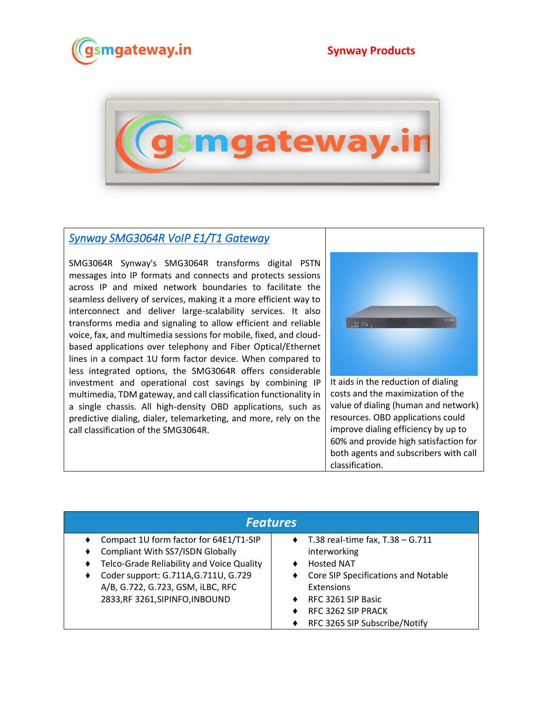



## *[Synway SMG3064R VoIP E1/T1 Gateway](https://www.gsmgateway.in/synway/SMG3064R-VoIP-E1T1-Gateway.html)*

SMG3064R Synway's SMG3064R transforms digital PSTN messages into IP formats and connects and protects sessions across IP and mixed network boundaries to facilitate the seamless delivery of services, making it a more efficient way to interconnect and deliver large-scalability services. It also transforms media and signaling to allow efficient and reliable voice, fax, and multimedia sessions for mobile, fixed, and cloudbased applications over telephony and Fiber Optical/Ethernet lines in a compact 1U form factor device. When compared to less integrated options, the SMG3064R offers considerable investment and operational cost savings by combining IP multimedia, TDM gateway, and call classification functionality in a single chassis. All high-density OBD applications, such as predictive dialing, dialer, telemarketing, and more, rely on the call classification of the SMG3064R.



It aids in the reduction of dialing costs and the maximization of the value of dialing (human and network) resources. OBD applications could improve dialing efficiency by up to 60% and provide high satisfaction for both agents and subscribers with call classification.

| <b>Features</b>                                                                        |                                                            |  |  |
|----------------------------------------------------------------------------------------|------------------------------------------------------------|--|--|
| Compact 1U form factor for 64E1/T1-SIP<br>٠<br><b>Compliant With SS7/ISDN Globally</b> | $\bullet$ T.38 real-time fax, T.38 - G.711<br>interworking |  |  |
| Telco-Grade Reliability and Voice Quality                                              | <b>Hosted NAT</b>                                          |  |  |
| Coder support: G.711A, G.711U, G.729<br>A/B, G.722, G.723, GSM, iLBC, RFC              | Core SIP Specifications and Notable<br>Extensions          |  |  |
| 2833, RF 3261, SIPINFO, INBOUND                                                        | RFC 3261 SIP Basic<br>RFC 3262 SIP PRACK                   |  |  |
|                                                                                        | RFC 3265 SIP Subscribe/Notify                              |  |  |